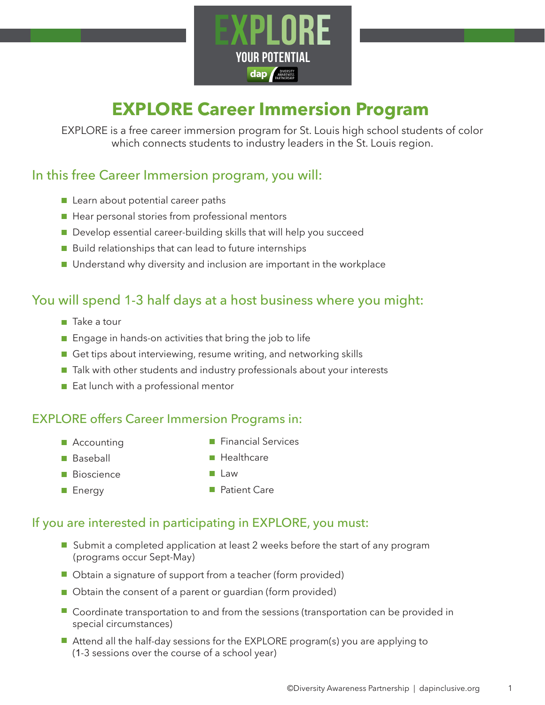

# **EXPLORE Career Immersion Program**

EXPLORE is a free career immersion program for St. Louis high school students of color which connects students to industry leaders in the St. Louis region.

### In this free Career Immersion program, you will:

- Learn about potential career paths
- Hear personal stories from professional mentors
- Develop essential career-building skills that will help you succeed
- $\blacksquare$  Build relationships that can lead to future internships
- Understand why diversity and inclusion are important in the workplace

### You will spend 1-3 half days at a host business where you might:

- $\blacksquare$  Take a tour
- $\blacksquare$  Engage in hands-on activities that bring the job to life
- Get tips about interviewing, resume writing, and networking skills
- Talk with other students and industry professionals about your interests
- Eat lunch with a professional mentor

### EXPLORE offers Career Immersion Programs in:

**Accounting** 

**Financial Services** 

**■ Baseball** 

**Healthcare** 

**Bioscience** 

**Law** 

■ Energy

**Patient Care** 

### If you are interested in participating in EXPLORE, you must:

- Submit a completed application at least 2 weeks before the start of any program (programs occur Sept-May)
- Obtain a signature of support from a teacher (form provided)
- Obtain the consent of a parent or guardian (form provided)
- Coordinate transportation to and from the sessions (transportation can be provided in special circumstances)
- Attend all the half-day sessions for the EXPLORE program(s) you are applying to (1-3 sessions over the course of a school year)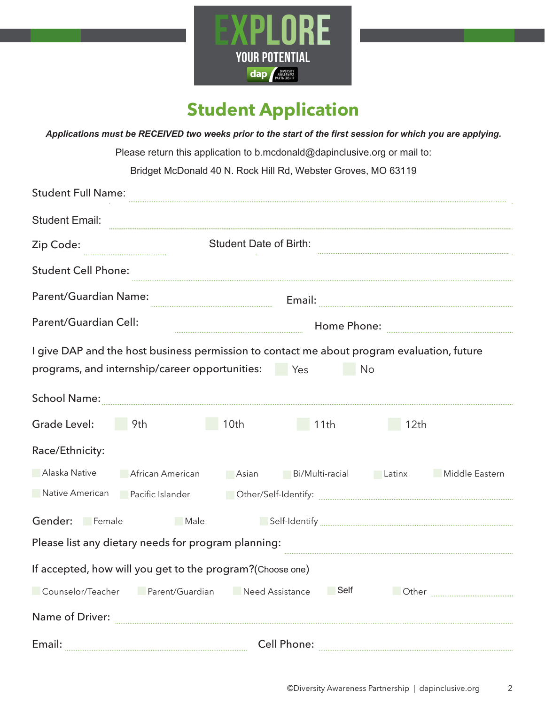

# **Student Application**

*Applications must be RECEIVED two weeks prior to the start of the first session for which you are applying.*

Please return this application to b.mcdonald@dapinclusive.org or mail to:

Bridget McDonald 40 N. Rock Hill Rd, Webster Groves, MO 63119

| <b>Student Full Name:</b>                                                                                                          |                                                                                                  |  |  |
|------------------------------------------------------------------------------------------------------------------------------------|--------------------------------------------------------------------------------------------------|--|--|
| <b>Student Email:</b>                                                                                                              |                                                                                                  |  |  |
| Zip Code:                                                                                                                          | <b>Student Date of Birth:</b>                                                                    |  |  |
| <b>Student Cell Phone:</b>                                                                                                         |                                                                                                  |  |  |
| <b>Parent/Guardian Name:</b>                                                                                                       |                                                                                                  |  |  |
| Parent/Guardian Cell:                                                                                                              |                                                                                                  |  |  |
| programs, and internship/career opportunities: Yes                                                                                 | I give DAP and the host business permission to contact me about program evaluation, future<br>No |  |  |
| School Name: www.communication.com                                                                                                 |                                                                                                  |  |  |
| Grade Level:<br>10 <sub>th</sub><br>9th                                                                                            | 11th<br>12 <sub>th</sub>                                                                         |  |  |
| Race/Ethnicity:                                                                                                                    |                                                                                                  |  |  |
| Alaska Native<br><b>African American</b>                                                                                           | Bi/Multi-racial<br>Latinx<br>Middle Eastern<br>Asian                                             |  |  |
| Native American <b>Pacific Islander</b><br>Demorf Self-Identify: www.communication.com/www.communication.com/www.communication.com |                                                                                                  |  |  |
| Gender: Female<br>Male                                                                                                             |                                                                                                  |  |  |
| Please list any dietary needs for program planning:                                                                                |                                                                                                  |  |  |
| If accepted, how will you get to the program?(Choose one)                                                                          |                                                                                                  |  |  |
| Counselor/Teacher<br>Parent/Guardian                                                                                               | Self<br>Need Assistance                                                                          |  |  |
| Name of Driver:                                                                                                                    |                                                                                                  |  |  |
| Email:                                                                                                                             | <b>Cell Phone:</b>                                                                               |  |  |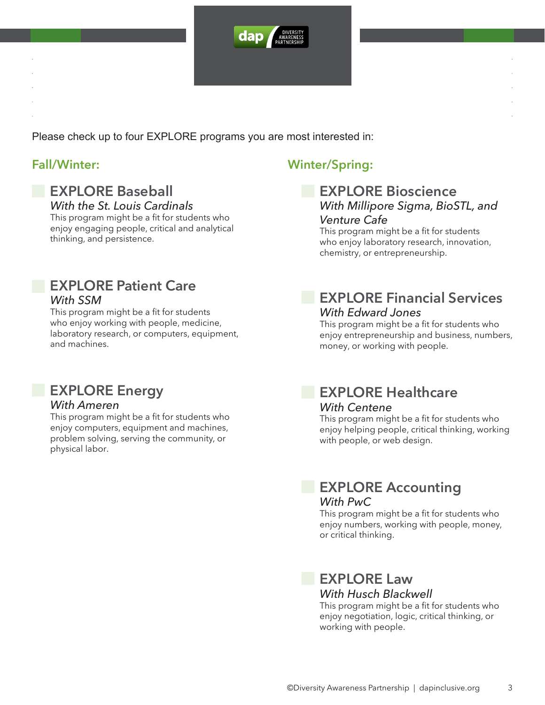

Please check up to four EXPLORE programs you are most interested in:

#### **EXPLORE Baseball** *With the St. Louis Cardinals*

This program might be a fit for students who enjoy engaging people, critical and analytical thinking, and persistence.

### **EXPLORE Patient Care** *With SSM*

This program might be a fit for students who enjoy working with people, medicine, laboratory research, or computers, equipment, and machines.

## **EXPLORE Energy**

#### *With Ameren*

This program might be a fit for students who enjoy computers, equipment and machines, problem solving, serving the community, or physical labor.

### **Fall/Winter: Winter/Spring:**

#### **EXPLORE Bioscience** *With Millipore Sigma, BioSTL, and Venture Cafe*

This program might be a fit for students who enjoy laboratory research, innovation, chemistry, or entrepreneurship.

### **EXPLORE Financial Services** *With Edward Jones*

This program might be a fit for students who enjoy entrepreneurship and business, numbers, money, or working with people.

### **EXPLORE Healthcare** *With Centene*

This program might be a fit for students who enjoy helping people, critical thinking, working with people, or web design.

### **EXPLORE Accounting** *With PwC*

This program might be a fit for students who enjoy numbers, working with people, money, or critical thinking.

### **EXPLORE Law** *With Husch Blackwell*

This program might be a fit for students who enjoy negotiation, logic, critical thinking, or working with people.